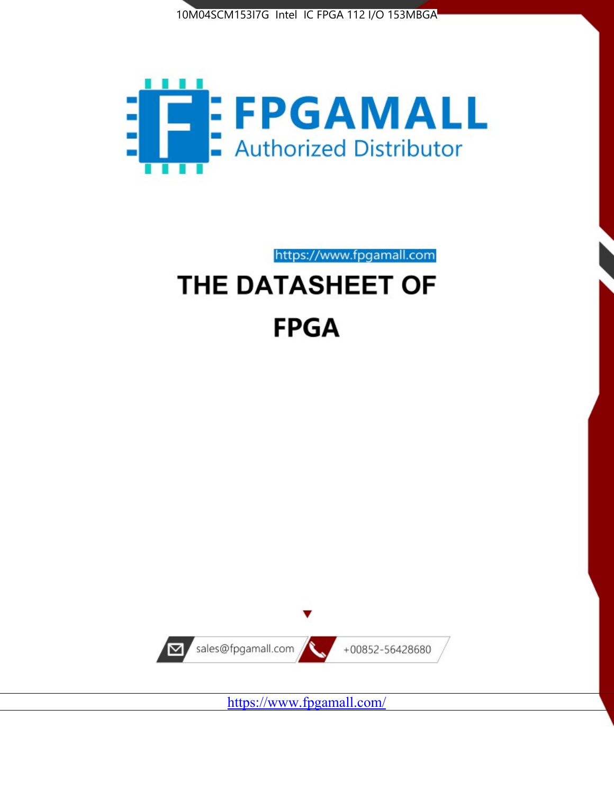



https://www.fpgamall.com

# THE DATASHEET OF **FPGA**



<https://www.fpgamall.com/>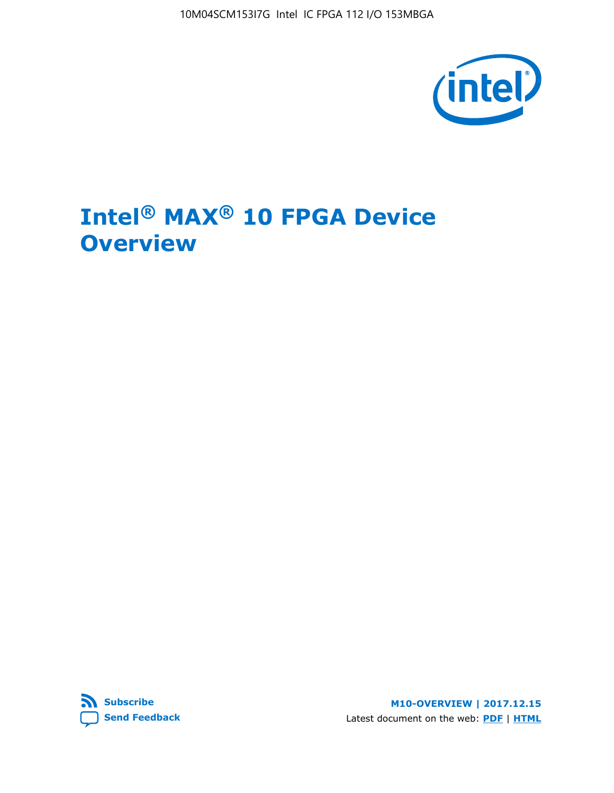10M04SCM153I7G Intel IC FPGA 112 I/O 153MBGA



# **Intel® MAX® 10 FPGA Device Overview**



**M10-OVERVIEW | 2017.12.15** Latest document on the web: **[PDF](https://www.altera.com/en_US/pdfs/literature/hb/max-10/m10_overview.pdf)** | **[HTML](https://www.altera.com/documentation/myt1396938463674.html)**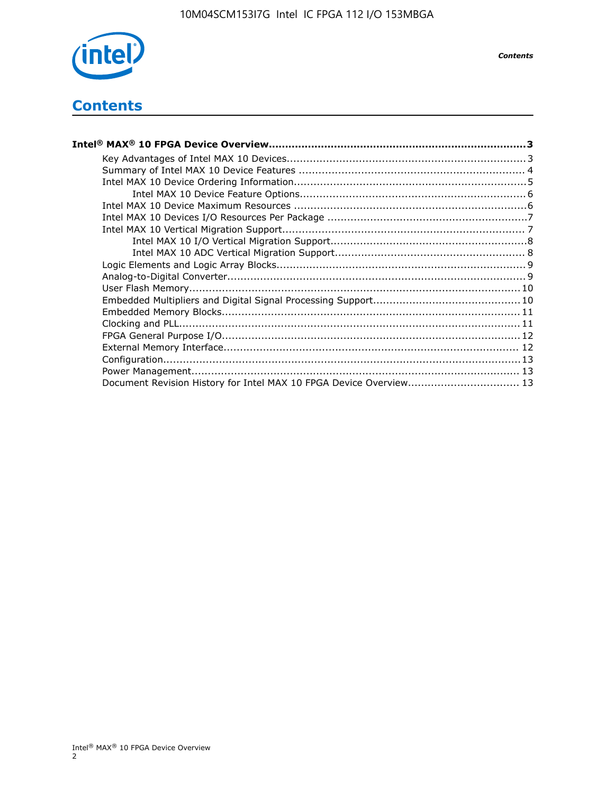

*Contents*

# **Contents**

| Intel® MAX® 10 FPGA Device Overview……………………………………………………………………………3  |  |
|--------------------------------------------------------------------|--|
|                                                                    |  |
|                                                                    |  |
|                                                                    |  |
|                                                                    |  |
|                                                                    |  |
|                                                                    |  |
|                                                                    |  |
|                                                                    |  |
|                                                                    |  |
|                                                                    |  |
|                                                                    |  |
|                                                                    |  |
|                                                                    |  |
|                                                                    |  |
|                                                                    |  |
|                                                                    |  |
|                                                                    |  |
|                                                                    |  |
|                                                                    |  |
| Document Revision History for Intel MAX 10 FPGA Device Overview 13 |  |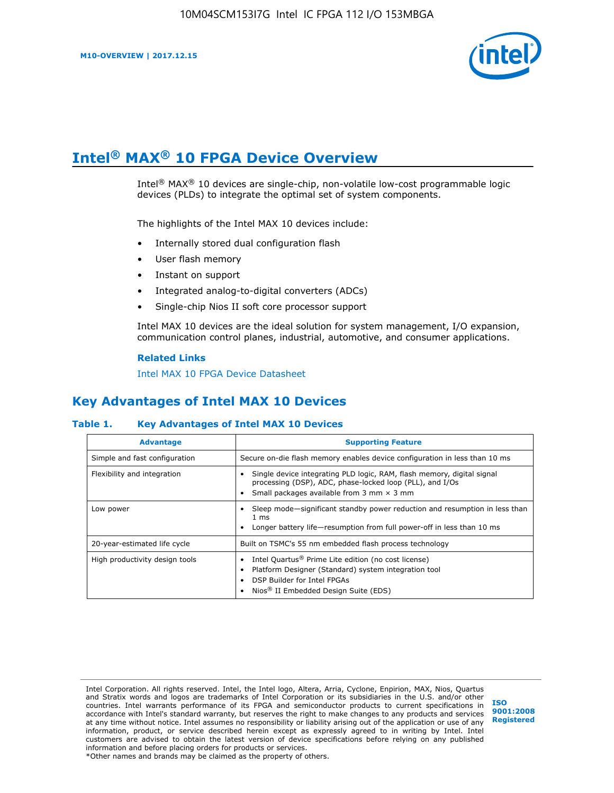

# **Intel® MAX® 10 FPGA Device Overview**

Intel® MAX® 10 devices are single-chip, non-volatile low-cost programmable logic devices (PLDs) to integrate the optimal set of system components.

The highlights of the Intel MAX 10 devices include:

- Internally stored dual configuration flash
- User flash memory
- Instant on support
- Integrated analog-to-digital converters (ADCs)
- Single-chip Nios II soft core processor support

Intel MAX 10 devices are the ideal solution for system management, I/O expansion, communication control planes, industrial, automotive, and consumer applications.

#### **Related Links**

[Intel MAX 10 FPGA Device Datasheet](https://www.altera.com/documentation/mcn1397700832153.html#mcn1397643748870)

# **Key Advantages of Intel MAX 10 Devices**

## **Table 1. Key Advantages of Intel MAX 10 Devices**

| <b>Advantage</b>               | <b>Supporting Feature</b>                                                                                                                                                                                  |  |  |  |
|--------------------------------|------------------------------------------------------------------------------------------------------------------------------------------------------------------------------------------------------------|--|--|--|
| Simple and fast configuration  | Secure on-die flash memory enables device configuration in less than 10 ms                                                                                                                                 |  |  |  |
| Flexibility and integration    | Single device integrating PLD logic, RAM, flash memory, digital signal<br>processing (DSP), ADC, phase-locked loop (PLL), and I/Os<br>Small packages available from 3 mm $\times$ 3 mm                     |  |  |  |
| Low power                      | Sleep mode—significant standby power reduction and resumption in less than<br>$1 \text{ ms}$<br>Longer battery life—resumption from full power-off in less than 10 ms                                      |  |  |  |
| 20-year-estimated life cycle   | Built on TSMC's 55 nm embedded flash process technology                                                                                                                                                    |  |  |  |
| High productivity design tools | Intel Quartus <sup>®</sup> Prime Lite edition (no cost license)<br>Platform Designer (Standard) system integration tool<br>DSP Builder for Intel FPGAs<br>Nios <sup>®</sup> II Embedded Design Suite (EDS) |  |  |  |

Intel Corporation. All rights reserved. Intel, the Intel logo, Altera, Arria, Cyclone, Enpirion, MAX, Nios, Quartus and Stratix words and logos are trademarks of Intel Corporation or its subsidiaries in the U.S. and/or other countries. Intel warrants performance of its FPGA and semiconductor products to current specifications in accordance with Intel's standard warranty, but reserves the right to make changes to any products and services at any time without notice. Intel assumes no responsibility or liability arising out of the application or use of any information, product, or service described herein except as expressly agreed to in writing by Intel. Intel customers are advised to obtain the latest version of device specifications before relying on any published information and before placing orders for products or services. \*Other names and brands may be claimed as the property of others.

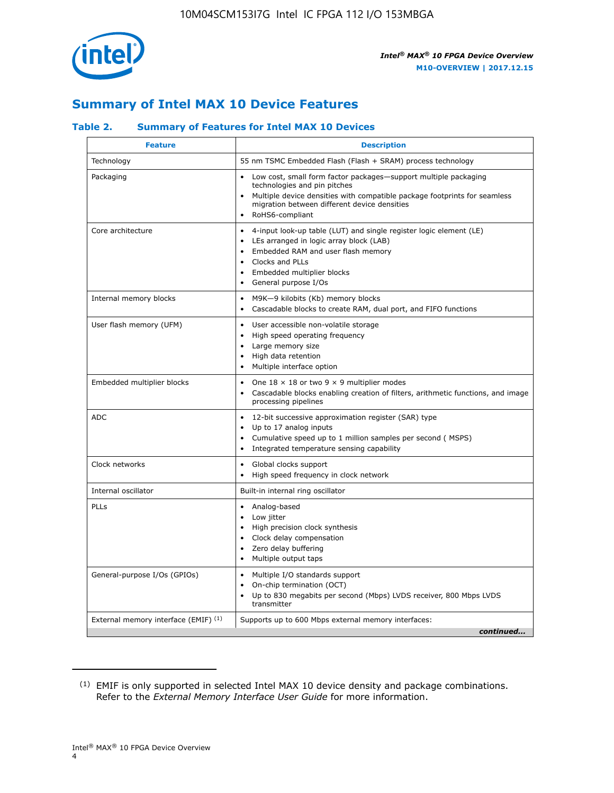

# **Summary of Intel MAX 10 Device Features**

## **Table 2. Summary of Features for Intel MAX 10 Devices**

| <b>Feature</b>                       | <b>Description</b>                                                                                                                                                                                                                                                                            |
|--------------------------------------|-----------------------------------------------------------------------------------------------------------------------------------------------------------------------------------------------------------------------------------------------------------------------------------------------|
| Technology                           | 55 nm TSMC Embedded Flash (Flash + SRAM) process technology                                                                                                                                                                                                                                   |
| Packaging                            | Low cost, small form factor packages-support multiple packaging<br>technologies and pin pitches<br>Multiple device densities with compatible package footprints for seamless<br>migration between different device densities<br>RoHS6-compliant                                               |
| Core architecture                    | 4-input look-up table (LUT) and single register logic element (LE)<br>$\bullet$<br>LEs arranged in logic array block (LAB)<br>$\bullet$<br>Embedded RAM and user flash memory<br>$\bullet$<br>Clocks and PLLs<br>$\bullet$<br>Embedded multiplier blocks<br>General purpose I/Os<br>$\bullet$ |
| Internal memory blocks               | M9K-9 kilobits (Kb) memory blocks<br>$\bullet$<br>Cascadable blocks to create RAM, dual port, and FIFO functions<br>$\bullet$                                                                                                                                                                 |
| User flash memory (UFM)              | User accessible non-volatile storage<br>$\bullet$<br>High speed operating frequency<br>$\bullet$<br>Large memory size<br>High data retention<br>$\bullet$<br>Multiple interface option                                                                                                        |
| Embedded multiplier blocks           | One $18 \times 18$ or two 9 $\times$ 9 multiplier modes<br>$\bullet$<br>Cascadable blocks enabling creation of filters, arithmetic functions, and image<br>processing pipelines                                                                                                               |
| <b>ADC</b>                           | 12-bit successive approximation register (SAR) type<br>$\bullet$<br>Up to 17 analog inputs<br>$\bullet$<br>Cumulative speed up to 1 million samples per second (MSPS)<br>Integrated temperature sensing capability<br>$\bullet$                                                               |
| Clock networks                       | Global clocks support<br>$\bullet$<br>High speed frequency in clock network                                                                                                                                                                                                                   |
| Internal oscillator                  | Built-in internal ring oscillator                                                                                                                                                                                                                                                             |
| <b>PLLs</b>                          | Analog-based<br>$\bullet$<br>Low jitter<br>High precision clock synthesis<br>$\bullet$<br>Clock delay compensation<br>$\bullet$<br>Zero delay buffering<br>٠<br>Multiple output taps<br>$\bullet$                                                                                             |
| General-purpose I/Os (GPIOs)         | Multiple I/O standards support<br>$\bullet$<br>On-chip termination (OCT)<br>٠<br>Up to 830 megabits per second (Mbps) LVDS receiver, 800 Mbps LVDS<br>transmitter                                                                                                                             |
| External memory interface (EMIF) (1) | Supports up to 600 Mbps external memory interfaces:<br>continued                                                                                                                                                                                                                              |
|                                      |                                                                                                                                                                                                                                                                                               |

<sup>(1)</sup> EMIF is only supported in selected Intel MAX 10 device density and package combinations. Refer to the *External Memory Interface User Guide* for more information.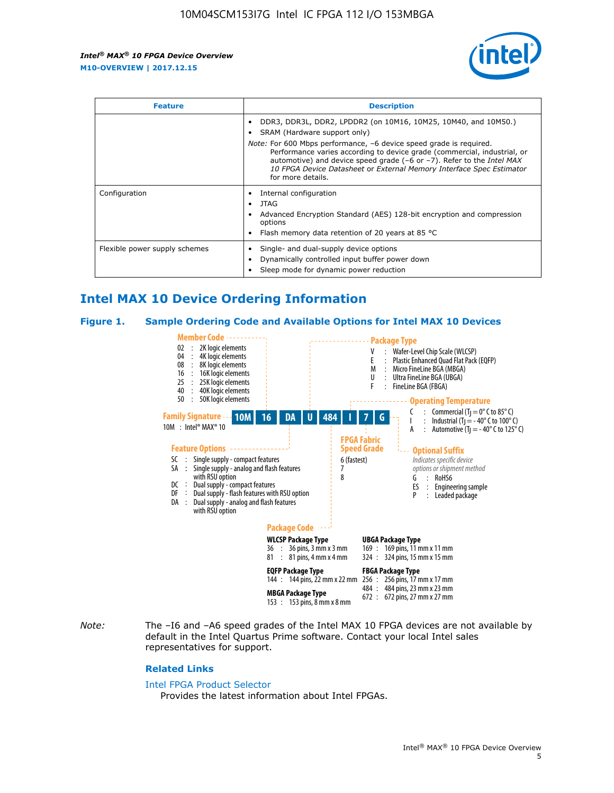

| <b>Feature</b>                | <b>Description</b>                                                                                                                                                                                                                                                                                                                                                                                                                               |  |  |  |
|-------------------------------|--------------------------------------------------------------------------------------------------------------------------------------------------------------------------------------------------------------------------------------------------------------------------------------------------------------------------------------------------------------------------------------------------------------------------------------------------|--|--|--|
|                               | DDR3, DDR3L, DDR2, LPDDR2 (on 10M16, 10M25, 10M40, and 10M50.)<br>SRAM (Hardware support only)<br><i>Note:</i> For 600 Mbps performance, -6 device speed grade is required.<br>Performance varies according to device grade (commercial, industrial, or<br>automotive) and device speed grade $(-6 \text{ or } -7)$ . Refer to the <i>Intel MAX</i><br>10 FPGA Device Datasheet or External Memory Interface Spec Estimator<br>for more details. |  |  |  |
| Configuration                 | Internal configuration<br>JTAG<br>٠<br>Advanced Encryption Standard (AES) 128-bit encryption and compression<br>options<br>Flash memory data retention of 20 years at 85 $^{\circ}$ C                                                                                                                                                                                                                                                            |  |  |  |
| Flexible power supply schemes | Single- and dual-supply device options<br>Dynamically controlled input buffer power down<br>Sleep mode for dynamic power reduction                                                                                                                                                                                                                                                                                                               |  |  |  |

# **Intel MAX 10 Device Ordering Information**

#### **Figure 1. Sample Ordering Code and Available Options for Intel MAX 10 Devices**



*Note:* The –I6 and –A6 speed grades of the Intel MAX 10 FPGA devices are not available by default in the Intel Quartus Prime software. Contact your local Intel sales representatives for support.

#### **Related Links**

#### [Intel FPGA Product Selector](http://www.altera.com/products/selector/psg-selector.html)

Provides the latest information about Intel FPGAs.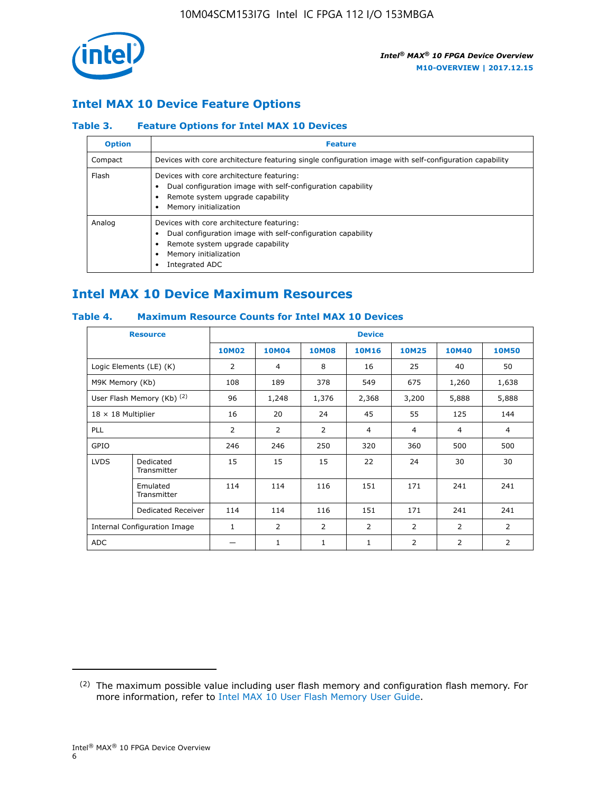

## **Intel MAX 10 Device Feature Options**

## **Table 3. Feature Options for Intel MAX 10 Devices**

| <b>Option</b> | <b>Feature</b>                                                                                                                                                                          |
|---------------|-----------------------------------------------------------------------------------------------------------------------------------------------------------------------------------------|
| Compact       | Devices with core architecture featuring single configuration image with self-configuration capability                                                                                  |
| Flash         | Devices with core architecture featuring:<br>Dual configuration image with self-configuration capability<br>Remote system upgrade capability<br>Memory initialization                   |
| Analog        | Devices with core architecture featuring:<br>Dual configuration image with self-configuration capability<br>Remote system upgrade capability<br>Memory initialization<br>Integrated ADC |

# **Intel MAX 10 Device Maximum Resources**

## **Table 4. Maximum Resource Counts for Intel MAX 10 Devices**

| <b>Resource</b>                     |                            | <b>Device</b>  |              |              |                |                |              |                |
|-------------------------------------|----------------------------|----------------|--------------|--------------|----------------|----------------|--------------|----------------|
|                                     |                            | <b>10M02</b>   | <b>10M04</b> | <b>10M08</b> | <b>10M16</b>   | <b>10M25</b>   | <b>10M40</b> | <b>10M50</b>   |
|                                     | Logic Elements (LE) (K)    | $\overline{2}$ | 4            | 8            | 16             | 25             | 40           | 50             |
| M9K Memory (Kb)                     |                            | 108            | 189          | 378          | 549            | 675            | 1,260        | 1,638          |
|                                     | User Flash Memory (Kb) (2) | 96             | 1,248        | 1,376        | 2,368          | 3,200          | 5,888        | 5,888          |
| $18 \times 18$ Multiplier           |                            | 16             | 20           | 24           | 45             | 55             | 125          | 144            |
| <b>PLL</b>                          |                            | 2              | 2            | 2            | $\overline{4}$ | $\overline{4}$ | 4            | $\overline{4}$ |
| GPIO                                |                            | 246            | 246          | 250          | 320            | 360            | 500          | 500            |
| <b>LVDS</b>                         | Dedicated<br>Transmitter   | 15             | 15           | 15           | 22             | 24             | 30           | 30             |
|                                     | Emulated<br>Transmitter    | 114            | 114          | 116          | 151            | 171            | 241          | 241            |
|                                     | Dedicated Receiver         | 114            | 114          | 116          | 151            | 171            | 241          | 241            |
| <b>Internal Configuration Image</b> |                            | $\mathbf{1}$   | 2            | 2            | $\overline{2}$ | 2              | 2            | $\overline{2}$ |
| <b>ADC</b>                          |                            |                | 1            | 1            | $\mathbf{1}$   | 2              | 2            | 2              |

<sup>(2)</sup> The maximum possible value including user flash memory and configuration flash memory. For more information, refer to [Intel MAX 10 User Flash Memory User Guide](https://www.altera.com/documentation/vgo1395753117436.html#vgo1395811844282).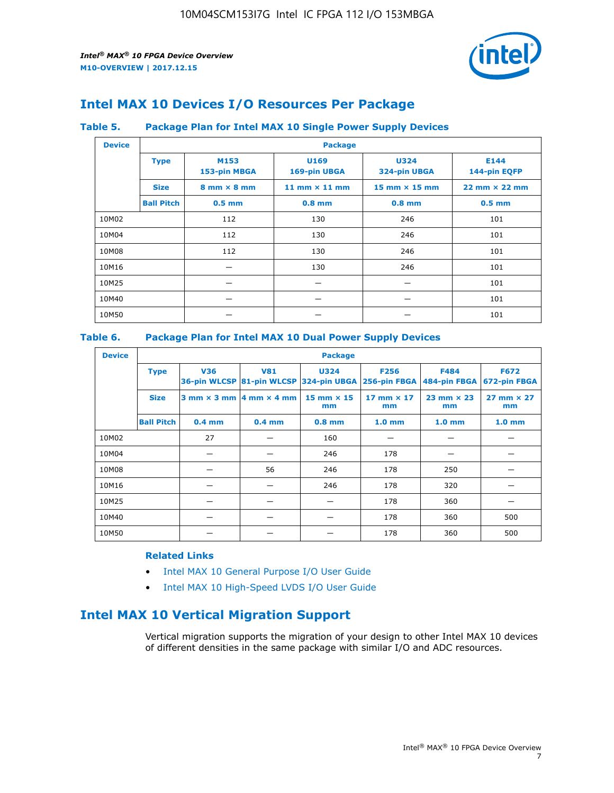

# **Intel MAX 10 Devices I/O Resources Per Package**

### **Table 5. Package Plan for Intel MAX 10 Single Power Supply Devices**

| <b>Device</b> |                   | <b>Package</b>                     |                      |                                      |                                      |  |  |  |  |
|---------------|-------------------|------------------------------------|----------------------|--------------------------------------|--------------------------------------|--|--|--|--|
|               | <b>Type</b>       | M153<br>153-pin MBGA               | U169<br>169-pin UBGA | <b>U324</b><br>324-pin UBGA          | E144<br>144-pin EQFP                 |  |  |  |  |
|               | <b>Size</b>       | $8 \text{ mm} \times 8 \text{ mm}$ | 11 mm $\times$ 11 mm | $15 \text{ mm} \times 15 \text{ mm}$ | $22 \text{ mm} \times 22 \text{ mm}$ |  |  |  |  |
|               | <b>Ball Pitch</b> | $0.5$ mm                           | $0.8$ mm             | $0.8$ mm                             | $0.5$ mm                             |  |  |  |  |
| 10M02         |                   | 112                                | 130                  | 246                                  | 101                                  |  |  |  |  |
| 10M04         |                   | 112                                | 130                  | 246                                  | 101                                  |  |  |  |  |
| 10M08         |                   | 112                                | 130                  | 246                                  | 101                                  |  |  |  |  |
| 10M16         |                   |                                    | 130                  | 246                                  | 101                                  |  |  |  |  |
| 10M25         |                   |                                    |                      |                                      | 101                                  |  |  |  |  |
| 10M40         |                   |                                    |                      |                                      | 101                                  |  |  |  |  |
| 10M50         |                   |                                    |                      |                                      | 101                                  |  |  |  |  |

## **Table 6. Package Plan for Intel MAX 10 Dual Power Supply Devices**

| <b>Device</b> |                   | <b>Package</b> |                                                |                                                                    |                           |                             |                             |  |  |
|---------------|-------------------|----------------|------------------------------------------------|--------------------------------------------------------------------|---------------------------|-----------------------------|-----------------------------|--|--|
|               | <b>Type</b>       | <b>V36</b>     | <b>V81</b>                                     | <b>U324</b><br>36-pin WLCSP 81-pin WLCSP 324-pin UBGA 256-pin FBGA | <b>F256</b>               | <b>F484</b><br>484-pin FBGA | <b>F672</b><br>672-pin FBGA |  |  |
|               | <b>Size</b>       |                | $3$ mm $\times$ 3 mm $ 4$ mm $\times$ 4 mm $ $ | $15$ mm $\times$ 15<br>mm                                          | $17$ mm $\times$ 17<br>mm | $23$ mm $\times$ 23<br>mm   | $27$ mm $\times$ 27<br>mm   |  |  |
|               | <b>Ball Pitch</b> | $0.4$ mm       | $0.4$ mm                                       | $0.8$ mm                                                           | 1.0 <sub>mm</sub>         | 1.0 <sub>mm</sub>           | 1.0 <sub>mm</sub>           |  |  |
| 10M02         |                   | 27             |                                                | 160                                                                |                           |                             |                             |  |  |
| 10M04         |                   |                |                                                | 246                                                                | 178                       |                             |                             |  |  |
| 10M08         |                   |                | 56                                             | 246                                                                | 178                       | 250                         |                             |  |  |
| 10M16         |                   |                |                                                | 246                                                                | 178                       | 320                         |                             |  |  |
| 10M25         |                   |                |                                                |                                                                    | 178                       | 360                         |                             |  |  |
| 10M40         |                   |                |                                                |                                                                    | 178                       | 360                         | 500                         |  |  |
| 10M50         |                   |                |                                                |                                                                    | 178                       | 360                         | 500                         |  |  |

## **Related Links**

- [Intel MAX 10 General Purpose I/O User Guide](https://www.altera.com/documentation/sam1393999966669.html#sam1394000084476)
- [Intel MAX 10 High-Speed LVDS I/O User Guide](https://www.altera.com/documentation/sam1394433606063.html#sam1394433911642)

# **Intel MAX 10 Vertical Migration Support**

Vertical migration supports the migration of your design to other Intel MAX 10 devices of different densities in the same package with similar I/O and ADC resources.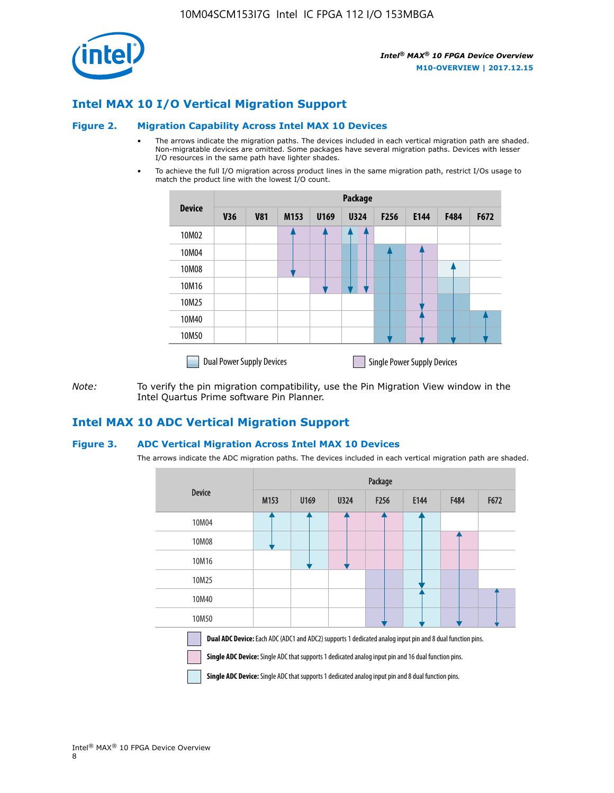

## **Intel MAX 10 I/O Vertical Migration Support**

#### **Figure 2. Migration Capability Across Intel MAX 10 Devices**

- The arrows indicate the migration paths. The devices included in each vertical migration path are shaded. Non-migratable devices are omitted. Some packages have several migration paths. Devices with lesser I/O resources in the same path have lighter shades.
- To achieve the full I/O migration across product lines in the same migration path, restrict I/Os usage to match the product line with the lowest I/O count.

|               | Package                          |            |      |      |             |                  |                                    |      |      |  |
|---------------|----------------------------------|------------|------|------|-------------|------------------|------------------------------------|------|------|--|
| <b>Device</b> | <b>V36</b>                       | <b>V81</b> | M153 | U169 | <b>U324</b> | F <sub>256</sub> | E144                               | F484 | F672 |  |
| 10M02         |                                  |            |      |      |             |                  |                                    |      |      |  |
| 10M04         |                                  |            |      |      |             |                  |                                    |      |      |  |
| 10M08         |                                  |            |      |      |             |                  |                                    |      |      |  |
| 10M16         |                                  |            |      |      |             |                  |                                    |      |      |  |
| 10M25         |                                  |            |      |      |             |                  |                                    |      |      |  |
| 10M40         |                                  |            |      |      |             |                  |                                    |      |      |  |
| 10M50         |                                  |            |      |      |             |                  |                                    |      |      |  |
|               | <b>Dual Power Supply Devices</b> |            |      |      |             |                  | <b>Single Power Supply Devices</b> |      |      |  |

*Note:* To verify the pin migration compatibility, use the Pin Migration View window in the Intel Quartus Prime software Pin Planner.

## **Intel MAX 10 ADC Vertical Migration Support**

#### **Figure 3. ADC Vertical Migration Across Intel MAX 10 Devices**

The arrows indicate the ADC migration paths. The devices included in each vertical migration path are shaded.

|                                                                                                                                                                                                                         | Package          |      |      |                  |      |             |      |  |  |
|-------------------------------------------------------------------------------------------------------------------------------------------------------------------------------------------------------------------------|------------------|------|------|------------------|------|-------------|------|--|--|
| <b>Device</b>                                                                                                                                                                                                           | M <sub>153</sub> | U169 | U324 | F <sub>256</sub> | E144 | <b>F484</b> | F672 |  |  |
| 10M04                                                                                                                                                                                                                   |                  |      |      |                  |      |             |      |  |  |
| 10M08                                                                                                                                                                                                                   |                  |      |      |                  |      |             |      |  |  |
| 10M16                                                                                                                                                                                                                   |                  |      |      |                  |      |             |      |  |  |
| 10M25                                                                                                                                                                                                                   |                  |      |      |                  |      |             |      |  |  |
| 10M40                                                                                                                                                                                                                   |                  |      |      |                  |      |             |      |  |  |
| 10M50                                                                                                                                                                                                                   |                  |      |      |                  |      |             |      |  |  |
| <b>Dual ADC Device:</b> Each ADC (ADC1 and ADC2) supports 1 dedicated analog input pin and 8 dual function pins.<br>Single ADC Device: Single ADC that supports 1 dedicated analog input pin and 16 dual function pins. |                  |      |      |                  |      |             |      |  |  |

**Single ADC Device:** Single ADC that supports 1 dedicated analog input pin and 8 dual function pins.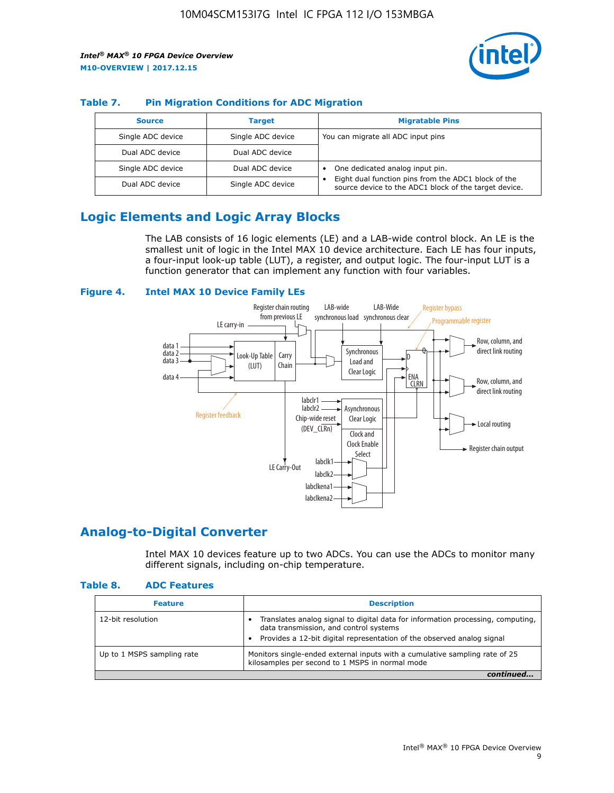

## **Table 7. Pin Migration Conditions for ADC Migration**

| <b>Source</b>     | <b>Target</b>     | <b>Migratable Pins</b>                                                                                            |
|-------------------|-------------------|-------------------------------------------------------------------------------------------------------------------|
| Single ADC device | Single ADC device | You can migrate all ADC input pins                                                                                |
| Dual ADC device   | Dual ADC device   |                                                                                                                   |
| Single ADC device | Dual ADC device   | One dedicated analog input pin.                                                                                   |
| Dual ADC device   | Single ADC device | Eight dual function pins from the ADC1 block of the<br>٠<br>source device to the ADC1 block of the target device. |

# **Logic Elements and Logic Array Blocks**

The LAB consists of 16 logic elements (LE) and a LAB-wide control block. An LE is the smallest unit of logic in the Intel MAX 10 device architecture. Each LE has four inputs, a four-input look-up table (LUT), a register, and output logic. The four-input LUT is a function generator that can implement any function with four variables.

#### **Figure 4. Intel MAX 10 Device Family LEs**



## **Analog-to-Digital Converter**

Intel MAX 10 devices feature up to two ADCs. You can use the ADCs to monitor many different signals, including on-chip temperature.

#### **Table 8. ADC Features**

| <b>Feature</b>             | <b>Description</b>                                                                                                                                                                                  |
|----------------------------|-----------------------------------------------------------------------------------------------------------------------------------------------------------------------------------------------------|
| 12-bit resolution          | Translates analog signal to digital data for information processing, computing,<br>data transmission, and control systems<br>Provides a 12-bit digital representation of the observed analog signal |
| Up to 1 MSPS sampling rate | Monitors single-ended external inputs with a cumulative sampling rate of 25<br>kilosamples per second to 1 MSPS in normal mode                                                                      |
|                            |                                                                                                                                                                                                     |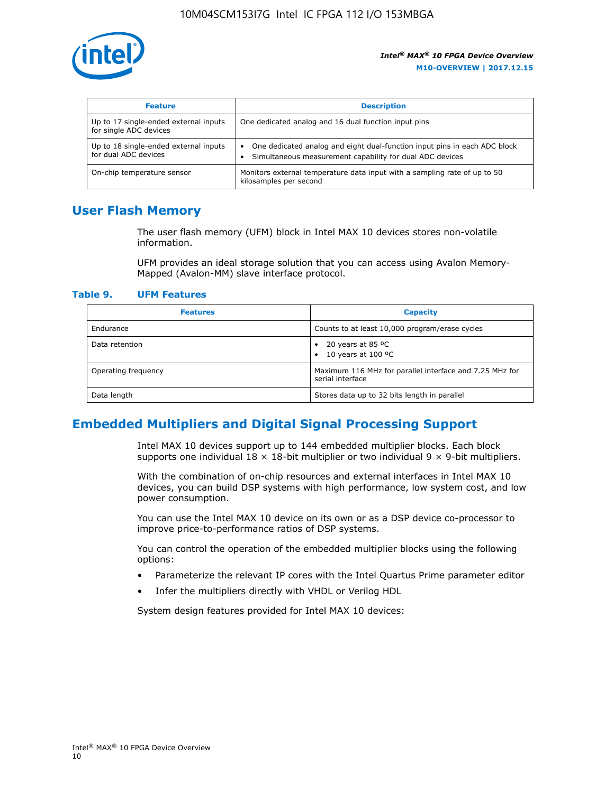

| <b>Feature</b>                                                  | <b>Description</b>                                                                                                                                 |
|-----------------------------------------------------------------|----------------------------------------------------------------------------------------------------------------------------------------------------|
| Up to 17 single-ended external inputs<br>for single ADC devices | One dedicated analog and 16 dual function input pins                                                                                               |
| Up to 18 single-ended external inputs<br>for dual ADC devices   | One dedicated analog and eight dual-function input pins in each ADC block<br>$\bullet$<br>Simultaneous measurement capability for dual ADC devices |
| On-chip temperature sensor                                      | Monitors external temperature data input with a sampling rate of up to 50<br>kilosamples per second                                                |

# **User Flash Memory**

The user flash memory (UFM) block in Intel MAX 10 devices stores non-volatile information.

UFM provides an ideal storage solution that you can access using Avalon Memory-Mapped (Avalon-MM) slave interface protocol.

#### **Table 9. UFM Features**

| <b>Features</b>     | <b>Capacity</b>                                                             |
|---------------------|-----------------------------------------------------------------------------|
| Endurance           | Counts to at least 10,000 program/erase cycles                              |
| Data retention      | 20 years at 85 $^{\circ}$ C<br>٠<br>10 years at 100 °C<br>$\bullet$         |
| Operating frequency | Maximum 116 MHz for parallel interface and 7.25 MHz for<br>serial interface |
| Data length         | Stores data up to 32 bits length in parallel                                |

# **Embedded Multipliers and Digital Signal Processing Support**

Intel MAX 10 devices support up to 144 embedded multiplier blocks. Each block supports one individual  $18 \times 18$ -bit multiplier or two individual  $9 \times 9$ -bit multipliers.

With the combination of on-chip resources and external interfaces in Intel MAX 10 devices, you can build DSP systems with high performance, low system cost, and low power consumption.

You can use the Intel MAX 10 device on its own or as a DSP device co-processor to improve price-to-performance ratios of DSP systems.

You can control the operation of the embedded multiplier blocks using the following options:

- Parameterize the relevant IP cores with the Intel Quartus Prime parameter editor
- Infer the multipliers directly with VHDL or Verilog HDL

System design features provided for Intel MAX 10 devices: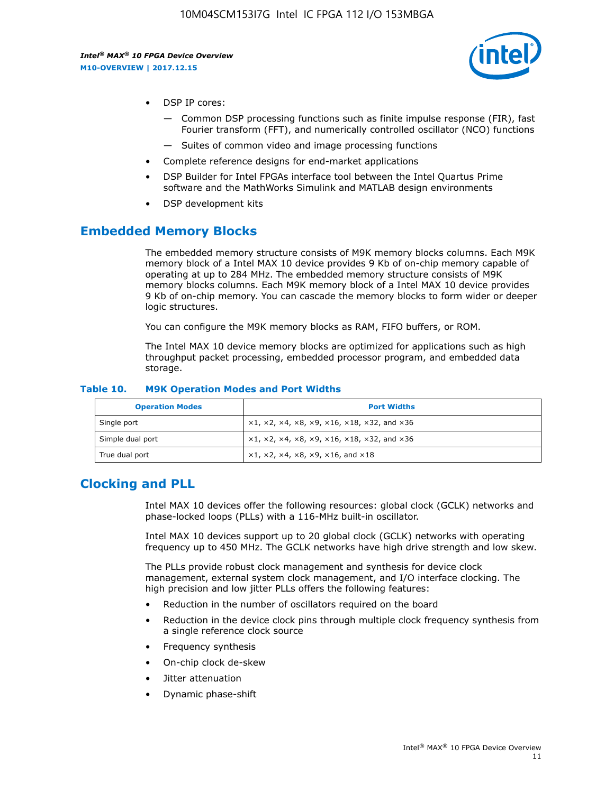

- DSP IP cores:
	- Common DSP processing functions such as finite impulse response (FIR), fast Fourier transform (FFT), and numerically controlled oscillator (NCO) functions
	- Suites of common video and image processing functions
- Complete reference designs for end-market applications
- DSP Builder for Intel FPGAs interface tool between the Intel Quartus Prime software and the MathWorks Simulink and MATLAB design environments
- DSP development kits

## **Embedded Memory Blocks**

The embedded memory structure consists of M9K memory blocks columns. Each M9K memory block of a Intel MAX 10 device provides 9 Kb of on-chip memory capable of operating at up to 284 MHz. The embedded memory structure consists of M9K memory blocks columns. Each M9K memory block of a Intel MAX 10 device provides 9 Kb of on-chip memory. You can cascade the memory blocks to form wider or deeper logic structures.

You can configure the M9K memory blocks as RAM, FIFO buffers, or ROM.

The Intel MAX 10 device memory blocks are optimized for applications such as high throughput packet processing, embedded processor program, and embedded data storage.

| <b>Operation Modes</b> | <b>Port Widths</b>                                                            |
|------------------------|-------------------------------------------------------------------------------|
| Single port            | $x1, x2, x4, x8, x9, x16, x18, x32, and x36$                                  |
| Simple dual port       | $x1, x2, x4, x8, x9, x16, x18, x32, and x36$                                  |
| True dual port         | $\times1, \times2, \times4, \times8, \times9, \times16, \text{and } \times18$ |

#### **Table 10. M9K Operation Modes and Port Widths**

# **Clocking and PLL**

Intel MAX 10 devices offer the following resources: global clock (GCLK) networks and phase-locked loops (PLLs) with a 116-MHz built-in oscillator.

Intel MAX 10 devices support up to 20 global clock (GCLK) networks with operating frequency up to 450 MHz. The GCLK networks have high drive strength and low skew.

The PLLs provide robust clock management and synthesis for device clock management, external system clock management, and I/O interface clocking. The high precision and low jitter PLLs offers the following features:

- Reduction in the number of oscillators required on the board
- Reduction in the device clock pins through multiple clock frequency synthesis from a single reference clock source
- Frequency synthesis
- On-chip clock de-skew
- Jitter attenuation
- Dynamic phase-shift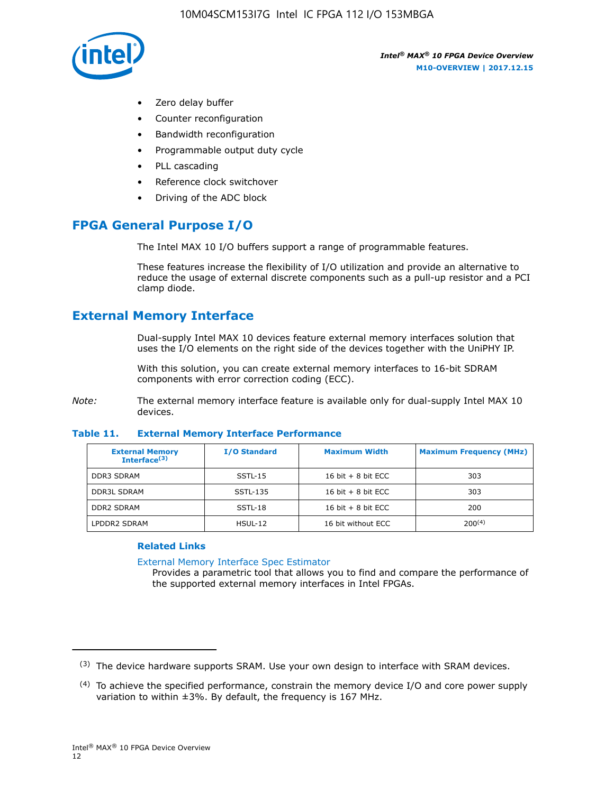

- Zero delay buffer
- Counter reconfiguration
- Bandwidth reconfiguration
- Programmable output duty cycle
- PLL cascading
- Reference clock switchover
- Driving of the ADC block

# **FPGA General Purpose I/O**

The Intel MAX 10 I/O buffers support a range of programmable features.

These features increase the flexibility of I/O utilization and provide an alternative to reduce the usage of external discrete components such as a pull-up resistor and a PCI clamp diode.

# **External Memory Interface**

Dual-supply Intel MAX 10 devices feature external memory interfaces solution that uses the I/O elements on the right side of the devices together with the UniPHY IP.

With this solution, you can create external memory interfaces to 16-bit SDRAM components with error correction coding (ECC).

*Note:* The external memory interface feature is available only for dual-supply Intel MAX 10 devices.

#### **Table 11. External Memory Interface Performance**

| <b>External Memory</b><br>Interface $(3)$ | <b>I/O Standard</b> | <b>Maximum Width</b> | <b>Maximum Frequency (MHz)</b> |
|-------------------------------------------|---------------------|----------------------|--------------------------------|
| <b>DDR3 SDRAM</b>                         | SSTL-15             | 16 bit $+8$ bit ECC  | 303                            |
| <b>DDR3L SDRAM</b>                        | SSTL-135            | 16 bit $+8$ bit ECC  | 303                            |
| <b>DDR2 SDRAM</b>                         | SSTL-18             | 16 bit $+8$ bit ECC  | 200                            |
| LPDDR2 SDRAM                              | $H$ SUL-12          | 16 bit without ECC   | 200(4)                         |

## **Related Links**

[External Memory Interface Spec Estimator](http://www.altera.com/technology/memory/estimator/mem-emif-index.html)

Provides a parametric tool that allows you to find and compare the performance of the supported external memory interfaces in Intel FPGAs.

 $(3)$  The device hardware supports SRAM. Use your own design to interface with SRAM devices.

 $(4)$  To achieve the specified performance, constrain the memory device I/O and core power supply variation to within ±3%. By default, the frequency is 167 MHz.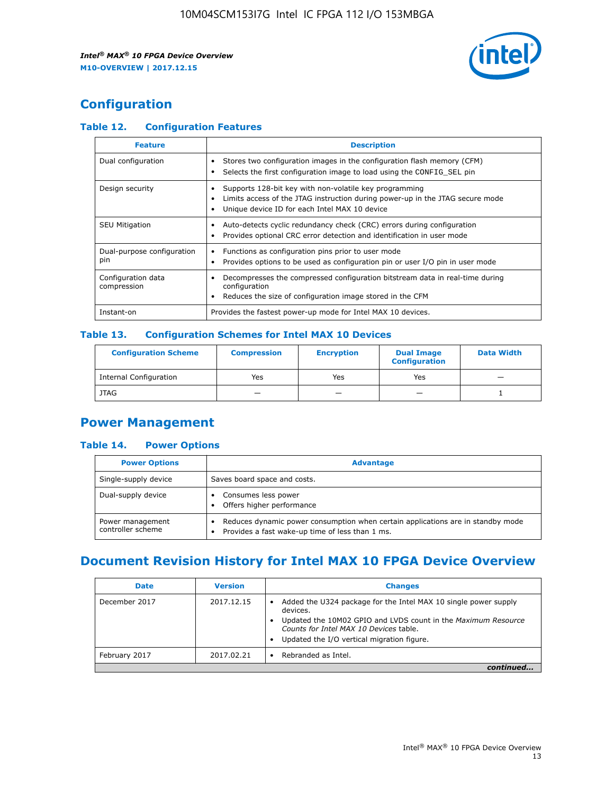

# **Configuration**

## **Table 12. Configuration Features**

| <b>Feature</b>                    | <b>Description</b>                                                                                                                                                                       |
|-----------------------------------|------------------------------------------------------------------------------------------------------------------------------------------------------------------------------------------|
| Dual configuration                | Stores two configuration images in the configuration flash memory (CFM)<br>Selects the first configuration image to load using the CONFIG SEL pin                                        |
| Design security                   | Supports 128-bit key with non-volatile key programming<br>Limits access of the JTAG instruction during power-up in the JTAG secure mode<br>Unique device ID for each Intel MAX 10 device |
| <b>SEU Mitigation</b>             | Auto-detects cyclic redundancy check (CRC) errors during configuration<br>Provides optional CRC error detection and identification in user mode                                          |
| Dual-purpose configuration<br>pin | Functions as configuration pins prior to user mode<br>Provides options to be used as configuration pin or user I/O pin in user mode                                                      |
| Configuration data<br>compression | Decompresses the compressed configuration bitstream data in real-time during<br>configuration<br>Reduces the size of configuration image stored in the CFM                               |
| Instant-on                        | Provides the fastest power-up mode for Intel MAX 10 devices.                                                                                                                             |

## **Table 13. Configuration Schemes for Intel MAX 10 Devices**

| <b>Configuration Scheme</b>   | <b>Compression</b>       | <b>Encryption</b> | <b>Dual Image</b><br><b>Configuration</b> | <b>Data Width</b> |
|-------------------------------|--------------------------|-------------------|-------------------------------------------|-------------------|
| <b>Internal Configuration</b> | Yes                      | Yes               | Yes                                       |                   |
| <b>JTAG</b>                   | $\overline{\phantom{a}}$ |                   | -                                         |                   |

## **Power Management**

## **Table 14. Power Options**

| <b>Power Options</b>                  | <b>Advantage</b>                                                                                                                   |  |
|---------------------------------------|------------------------------------------------------------------------------------------------------------------------------------|--|
| Single-supply device                  | Saves board space and costs.                                                                                                       |  |
| Dual-supply device                    | Consumes less power<br>Offers higher performance                                                                                   |  |
| Power management<br>controller scheme | Reduces dynamic power consumption when certain applications are in standby mode<br>Provides a fast wake-up time of less than 1 ms. |  |

# **Document Revision History for Intel MAX 10 FPGA Device Overview**

| <b>Date</b>   | <b>Version</b> | <b>Changes</b>                                                                                                                                                                                                                       |
|---------------|----------------|--------------------------------------------------------------------------------------------------------------------------------------------------------------------------------------------------------------------------------------|
| December 2017 | 2017.12.15     | Added the U324 package for the Intel MAX 10 single power supply<br>devices.<br>Updated the 10M02 GPIO and LVDS count in the Maximum Resource<br>Counts for Intel MAX 10 Devices table.<br>Updated the I/O vertical migration figure. |
| February 2017 | 2017.02.21     | Rebranded as Intel.                                                                                                                                                                                                                  |
|               |                |                                                                                                                                                                                                                                      |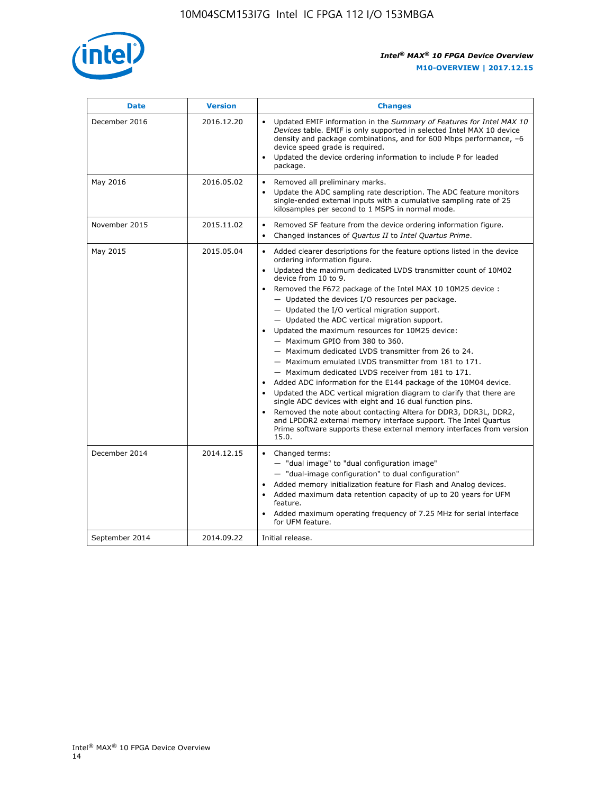

| <b>Date</b>    | <b>Version</b> | <b>Changes</b>                                                                                                                                                                                                                                                                                                                                                                                                                                                                                                                                                                                                                                                                                                                                                                                                                                                                                                                                                                                                                                                                                                                                                                     |
|----------------|----------------|------------------------------------------------------------------------------------------------------------------------------------------------------------------------------------------------------------------------------------------------------------------------------------------------------------------------------------------------------------------------------------------------------------------------------------------------------------------------------------------------------------------------------------------------------------------------------------------------------------------------------------------------------------------------------------------------------------------------------------------------------------------------------------------------------------------------------------------------------------------------------------------------------------------------------------------------------------------------------------------------------------------------------------------------------------------------------------------------------------------------------------------------------------------------------------|
| December 2016  | 2016.12.20     | • Updated EMIF information in the Summary of Features for Intel MAX 10<br>Devices table. EMIF is only supported in selected Intel MAX 10 device<br>density and package combinations, and for 600 Mbps performance, -6<br>device speed grade is required.<br>Updated the device ordering information to include P for leaded<br>$\bullet$<br>package.                                                                                                                                                                                                                                                                                                                                                                                                                                                                                                                                                                                                                                                                                                                                                                                                                               |
| May 2016       | 2016.05.02     | Removed all preliminary marks.<br>Update the ADC sampling rate description. The ADC feature monitors<br>$\bullet$<br>single-ended external inputs with a cumulative sampling rate of 25<br>kilosamples per second to 1 MSPS in normal mode.                                                                                                                                                                                                                                                                                                                                                                                                                                                                                                                                                                                                                                                                                                                                                                                                                                                                                                                                        |
| November 2015  | 2015.11.02     | Removed SF feature from the device ordering information figure.<br>$\bullet$<br>Changed instances of Quartus II to Intel Quartus Prime.<br>$\bullet$                                                                                                                                                                                                                                                                                                                                                                                                                                                                                                                                                                                                                                                                                                                                                                                                                                                                                                                                                                                                                               |
| May 2015       | 2015.05.04     | Added clearer descriptions for the feature options listed in the device<br>$\bullet$<br>ordering information figure.<br>Updated the maximum dedicated LVDS transmitter count of 10M02<br>$\bullet$<br>device from 10 to 9.<br>• Removed the F672 package of the Intel MAX 10 10M25 device :<br>- Updated the devices I/O resources per package.<br>- Updated the I/O vertical migration support.<br>- Updated the ADC vertical migration support.<br>Updated the maximum resources for 10M25 device:<br>- Maximum GPIO from 380 to 360.<br>- Maximum dedicated LVDS transmitter from 26 to 24.<br>- Maximum emulated LVDS transmitter from 181 to 171.<br>- Maximum dedicated LVDS receiver from 181 to 171.<br>Added ADC information for the E144 package of the 10M04 device.<br>$\bullet$<br>Updated the ADC vertical migration diagram to clarify that there are<br>$\bullet$<br>single ADC devices with eight and 16 dual function pins.<br>Removed the note about contacting Altera for DDR3, DDR3L, DDR2,<br>$\bullet$<br>and LPDDR2 external memory interface support. The Intel Quartus<br>Prime software supports these external memory interfaces from version<br>15.0. |
| December 2014  | 2014.12.15     | $\bullet$<br>Changed terms:<br>- "dual image" to "dual configuration image"<br>- "dual-image configuration" to dual configuration"<br>• Added memory initialization feature for Flash and Analog devices.<br>• Added maximum data retention capacity of up to 20 years for UFM<br>feature.<br>Added maximum operating frequency of 7.25 MHz for serial interface<br>$\bullet$<br>for UFM feature.                                                                                                                                                                                                                                                                                                                                                                                                                                                                                                                                                                                                                                                                                                                                                                                  |
| September 2014 | 2014.09.22     | Initial release.                                                                                                                                                                                                                                                                                                                                                                                                                                                                                                                                                                                                                                                                                                                                                                                                                                                                                                                                                                                                                                                                                                                                                                   |